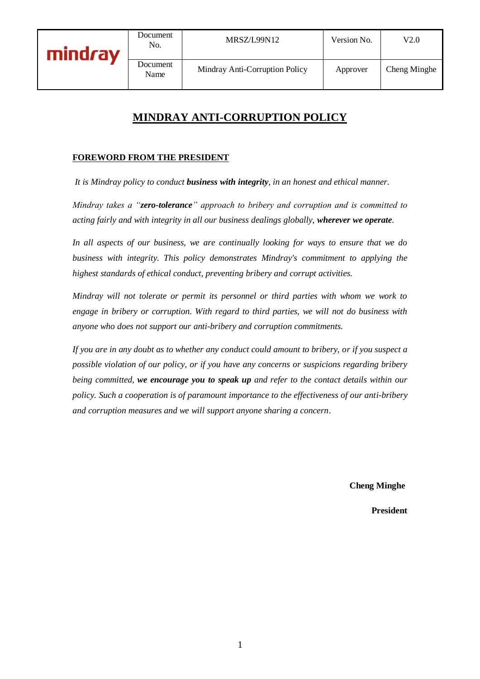

**Document** 

# **MINDRAY ANTI-CORRUPTION POLICY**

#### **FOREWORD FROM THE PRESIDENT**

*It is Mindray policy to conduct business with integrity, in an honest and ethical manner.* 

*Mindray takes a "zero-tolerance" approach to bribery and corruption and is committed to acting fairly and with integrity in all our business dealings globally, wherever we operate.*

*In all aspects of our business, we are continually looking for ways to ensure that we do business with integrity. This policy demonstrates Mindray's commitment to applying the highest standards of ethical conduct, preventing bribery and corrupt activities.*

*Mindray will not tolerate or permit its personnel or third parties with whom we work to engage in bribery or corruption. With regard to third parties, we will not do business with anyone who does not support our anti-bribery and corruption commitments.*

*If you are in any doubt as to whether any conduct could amount to bribery, or if you suspect a possible violation of our policy, or if you have any concerns or suspicions regarding bribery being committed, we encourage you to speak up and refer to the contact details within our policy. Such a cooperation is of paramount importance to the effectiveness of our anti-bribery and corruption measures and we will support anyone sharing a concern*.

**[Cheng Minghe](https://www.google.co.uk/url?sa=t&rct=j&q=&esrc=s&source=web&cd=3&cad=rja&uact=8&ved=2ahUKEwjw69nLqIPlAhXaVBUIHcFXBaAQFjACegQIDBAG&url=https%3A%2F%2Fwww.forbes.com%2Fprofile%2Fli-xiting%2F&usg=AOvVaw36PCIk1ttcMxtelyDEqApE)**

**President**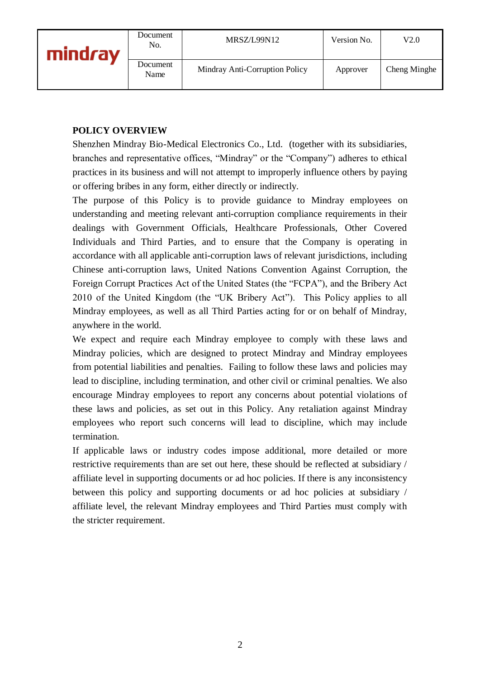| mindray | Document<br>No.  | MRSZ/L99N12                    | Version No. | V2.0         |
|---------|------------------|--------------------------------|-------------|--------------|
|         | Document<br>Name | Mindray Anti-Corruption Policy | Approver    | Cheng Minghe |

#### **POLICY OVERVIEW**

Shenzhen Mindray Bio-Medical Electronics Co., Ltd. (together with its subsidiaries, branches and representative offices, "Mindray" or the "Company") adheres to ethical practices in its business and will not attempt to improperly influence others by paying or offering bribes in any form, either directly or indirectly.

The purpose of this Policy is to provide guidance to Mindray employees on understanding and meeting relevant anti-corruption compliance requirements in their dealings with Government Officials, Healthcare Professionals, Other Covered Individuals and Third Parties, and to ensure that the Company is operating in accordance with all applicable anti-corruption laws of relevant jurisdictions, including Chinese anti-corruption laws, United Nations Convention Against Corruption, the Foreign Corrupt Practices Act of the United States (the "FCPA"), and the Bribery Act 2010 of the United Kingdom (the "UK Bribery Act"). This Policy applies to all Mindray employees, as well as all Third Parties acting for or on behalf of Mindray, anywhere in the world.

We expect and require each Mindray employee to comply with these laws and Mindray policies, which are designed to protect Mindray and Mindray employees from potential liabilities and penalties. Failing to follow these laws and policies may lead to discipline, including termination, and other civil or criminal penalties. We also encourage Mindray employees to report any concerns about potential violations of these laws and policies, as set out in this Policy. Any retaliation against Mindray employees who report such concerns will lead to discipline, which may include termination.

If applicable laws or industry codes impose additional, more detailed or more restrictive requirements than are set out here, these should be reflected at subsidiary / affiliate level in supporting documents or ad hoc policies. If there is any inconsistency between this policy and supporting documents or ad hoc policies at subsidiary / affiliate level, the relevant Mindray employees and Third Parties must comply with the stricter requirement.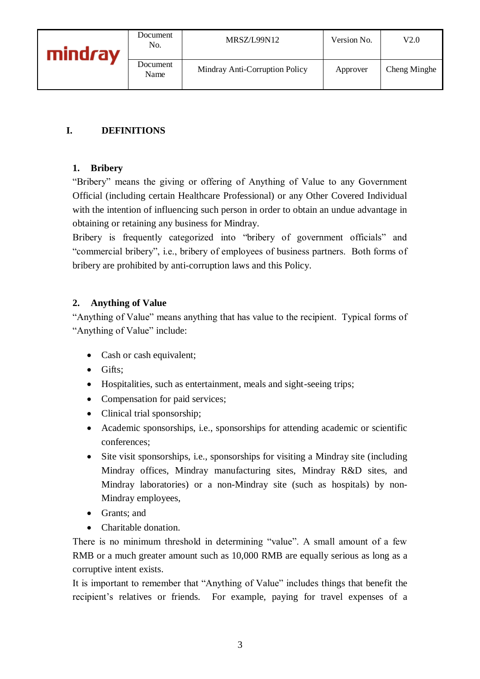### **I. DEFINITIONS**

#### **1. Bribery**

"Bribery" means the giving or offering of Anything of Value to any Government Official (including certain Healthcare Professional) or any Other Covered Individual with the intention of influencing such person in order to obtain an undue advantage in obtaining or retaining any business for Mindray.

Bribery is frequently categorized into "bribery of government officials" and "commercial bribery", i.e., bribery of employees of business partners. Both forms of bribery are prohibited by anti-corruption laws and this Policy.

#### **2. Anything of Value**

"Anything of Value" means anything that has value to the recipient. Typical forms of "Anything of Value" include:

- Cash or cash equivalent;
- Gifts:
- Hospitalities, such as entertainment, meals and sight-seeing trips;
- Compensation for paid services;
- Clinical trial sponsorship;
- Academic sponsorships, i.e., sponsorships for attending academic or scientific conferences;
- Site visit sponsorships, i.e., sponsorships for visiting a Mindray site (including Mindray offices, Mindray manufacturing sites, Mindray R&D sites, and Mindray laboratories) or a non-Mindray site (such as hospitals) by non-Mindray employees,
- Grants; and
- Charitable donation.

There is no minimum threshold in determining "value". A small amount of a few RMB or a much greater amount such as 10,000 RMB are equally serious as long as a corruptive intent exists.

It is important to remember that "Anything of Value" includes things that benefit the recipient's relatives or friends. For example, paying for travel expenses of a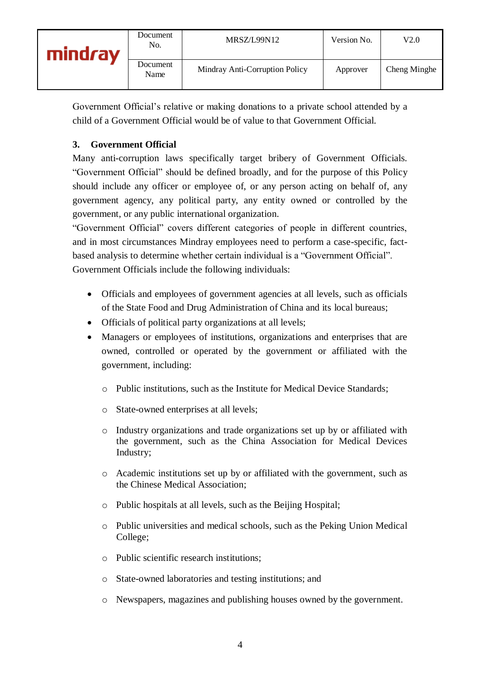Government Official's relative or making donations to a private school attended by a child of a Government Official would be of value to that Government Official.

## **3. Government Official**

Many anti-corruption laws specifically target bribery of Government Officials. "Government Official" should be defined broadly, and for the purpose of this Policy should include any officer or employee of, or any person acting on behalf of, any government agency, any political party, any entity owned or controlled by the government, or any public international organization.

"Government Official" covers different categories of people in different countries, and in most circumstances Mindray employees need to perform a case-specific, factbased analysis to determine whether certain individual is a "Government Official". Government Officials include the following individuals:

- Officials and employees of government agencies at all levels, such as officials of the State Food and Drug Administration of China and its local bureaus;
- Officials of political party organizations at all levels;
- Managers or employees of institutions, organizations and enterprises that are owned, controlled or operated by the government or affiliated with the government, including:
	- o Public institutions, such as the Institute for Medical Device Standards;
	- o State-owned enterprises at all levels;
	- o Industry organizations and trade organizations set up by or affiliated with the government, such as the China Association for Medical Devices Industry;
	- o Academic institutions set up by or affiliated with the government, such as the Chinese Medical Association;
	- o Public hospitals at all levels, such as the Beijing Hospital;
	- o Public universities and medical schools, such as the Peking Union Medical College;
	- o Public scientific research institutions;
	- o State-owned laboratories and testing institutions; and
	- o Newspapers, magazines and publishing houses owned by the government.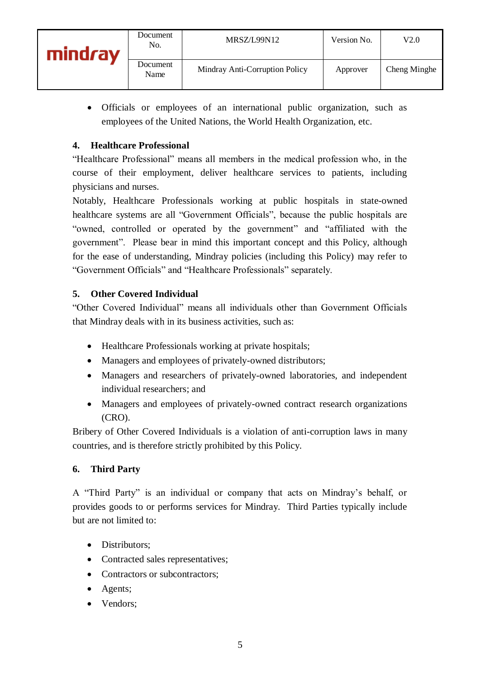Officials or employees of an international public organization, such as employees of the United Nations, the World Health Organization, etc.

### **4. Healthcare Professional**

"Healthcare Professional" means all members in the medical profession who, in the course of their employment, deliver healthcare services to patients, including physicians and nurses.

Notably, Healthcare Professionals working at public hospitals in state-owned healthcare systems are all "Government Officials", because the public hospitals are "owned, controlled or operated by the government" and "affiliated with the government". Please bear in mind this important concept and this Policy, although for the ease of understanding, Mindray policies (including this Policy) may refer to "Government Officials" and "Healthcare Professionals" separately.

### **5. Other Covered Individual**

"Other Covered Individual" means all individuals other than Government Officials that Mindray deals with in its business activities, such as:

- Healthcare Professionals working at private hospitals;
- Managers and employees of privately-owned distributors;
- Managers and researchers of privately-owned laboratories, and independent individual researchers; and
- Managers and employees of privately-owned contract research organizations (CRO).

Bribery of Other Covered Individuals is a violation of anti-corruption laws in many countries, and is therefore strictly prohibited by this Policy.

### **6. Third Party**

A "Third Party" is an individual or company that acts on Mindray's behalf, or provides goods to or performs services for Mindray. Third Parties typically include but are not limited to:

- Distributors:
- Contracted sales representatives;
- Contractors or subcontractors;
- Agents;
- Vendors;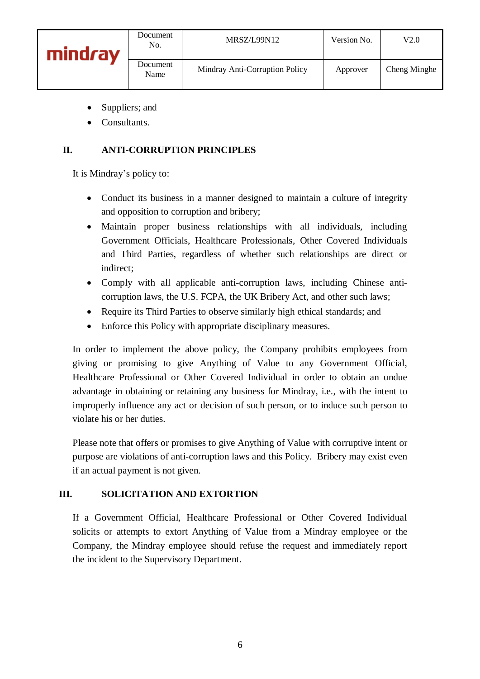- Suppliers; and
- Consultants.

### **II. ANTI-CORRUPTION PRINCIPLES**

It is Mindray's policy to:

- Conduct its business in a manner designed to maintain a culture of integrity and opposition to corruption and bribery;
- Maintain proper business relationships with all individuals, including Government Officials, Healthcare Professionals, Other Covered Individuals and Third Parties, regardless of whether such relationships are direct or indirect;
- Comply with all applicable anti-corruption laws, including Chinese anticorruption laws, the U.S. FCPA, the UK Bribery Act, and other such laws;
- Require its Third Parties to observe similarly high ethical standards; and
- Enforce this Policy with appropriate disciplinary measures.

In order to implement the above policy, the Company prohibits employees from giving or promising to give Anything of Value to any Government Official, Healthcare Professional or Other Covered Individual in order to obtain an undue advantage in obtaining or retaining any business for Mindray, i.e., with the intent to improperly influence any act or decision of such person, or to induce such person to violate his or her duties.

Please note that offers or promises to give Anything of Value with corruptive intent or purpose are violations of anti-corruption laws and this Policy. Bribery may exist even if an actual payment is not given.

### **III. SOLICITATION AND EXTORTION**

If a Government Official, Healthcare Professional or Other Covered Individual solicits or attempts to extort Anything of Value from a Mindray employee or the Company, the Mindray employee should refuse the request and immediately report the incident to the Supervisory Department.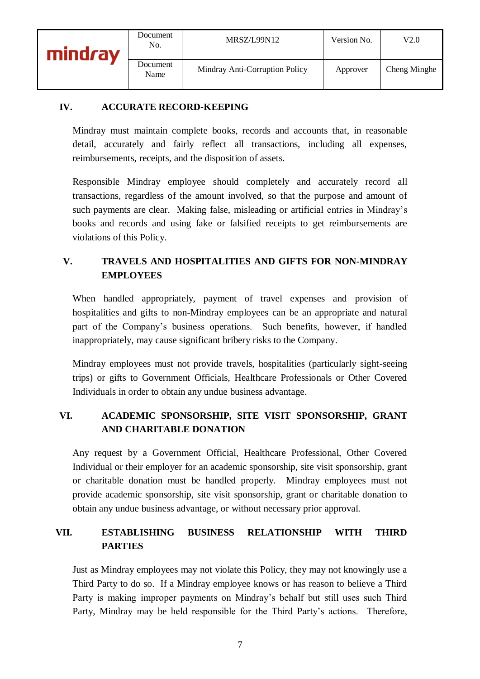#### **IV. ACCURATE RECORD-KEEPING**

Mindray must maintain complete books, records and accounts that, in reasonable detail, accurately and fairly reflect all transactions, including all expenses, reimbursements, receipts, and the disposition of assets.

Responsible Mindray employee should completely and accurately record all transactions, regardless of the amount involved, so that the purpose and amount of such payments are clear. Making false, misleading or artificial entries in Mindray's books and records and using fake or falsified receipts to get reimbursements are violations of this Policy.

## **V. TRAVELS AND HOSPITALITIES AND GIFTS FOR NON-MINDRAY EMPLOYEES**

When handled appropriately, payment of travel expenses and provision of hospitalities and gifts to non-Mindray employees can be an appropriate and natural part of the Company's business operations. Such benefits, however, if handled inappropriately, may cause significant bribery risks to the Company.

Mindray employees must not provide travels, hospitalities (particularly sight-seeing trips) or gifts to Government Officials, Healthcare Professionals or Other Covered Individuals in order to obtain any undue business advantage.

## **VI. ACADEMIC SPONSORSHIP, SITE VISIT SPONSORSHIP, GRANT AND CHARITABLE DONATION**

Any request by a Government Official, Healthcare Professional, Other Covered Individual or their employer for an academic sponsorship, site visit sponsorship, grant or charitable donation must be handled properly. Mindray employees must not provide academic sponsorship, site visit sponsorship, grant or charitable donation to obtain any undue business advantage, or without necessary prior approval.

## **VII. ESTABLISHING BUSINESS RELATIONSHIP WITH THIRD PARTIES**

Just as Mindray employees may not violate this Policy, they may not knowingly use a Third Party to do so. If a Mindray employee knows or has reason to believe a Third Party is making improper payments on Mindray's behalf but still uses such Third Party, Mindray may be held responsible for the Third Party's actions. Therefore,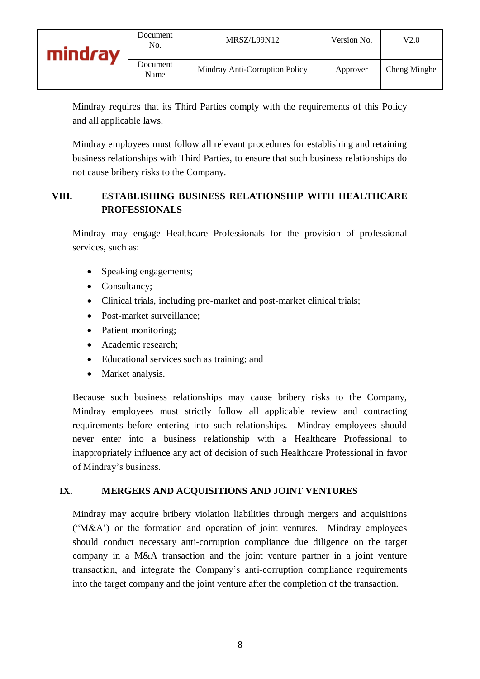Mindray requires that its Third Parties comply with the requirements of this Policy and all applicable laws.

Mindray employees must follow all relevant procedures for establishing and retaining business relationships with Third Parties, to ensure that such business relationships do not cause bribery risks to the Company.

## **VIII. ESTABLISHING BUSINESS RELATIONSHIP WITH HEALTHCARE PROFESSIONALS**

Mindray may engage Healthcare Professionals for the provision of professional services, such as:

- Speaking engagements;
- Consultancy;
- Clinical trials, including pre-market and post-market clinical trials;
- Post-market surveillance;
- Patient monitoring;
- Academic research;
- Educational services such as training; and
- Market analysis.

Because such business relationships may cause bribery risks to the Company, Mindray employees must strictly follow all applicable review and contracting requirements before entering into such relationships. Mindray employees should never enter into a business relationship with a Healthcare Professional to inappropriately influence any act of decision of such Healthcare Professional in favor of Mindray's business.

#### **IX. MERGERS AND ACQUISITIONS AND JOINT VENTURES**

Mindray may acquire bribery violation liabilities through mergers and acquisitions ("M&A') or the formation and operation of joint ventures. Mindray employees should conduct necessary anti-corruption compliance due diligence on the target company in a M&A transaction and the joint venture partner in a joint venture transaction, and integrate the Company's anti-corruption compliance requirements into the target company and the joint venture after the completion of the transaction.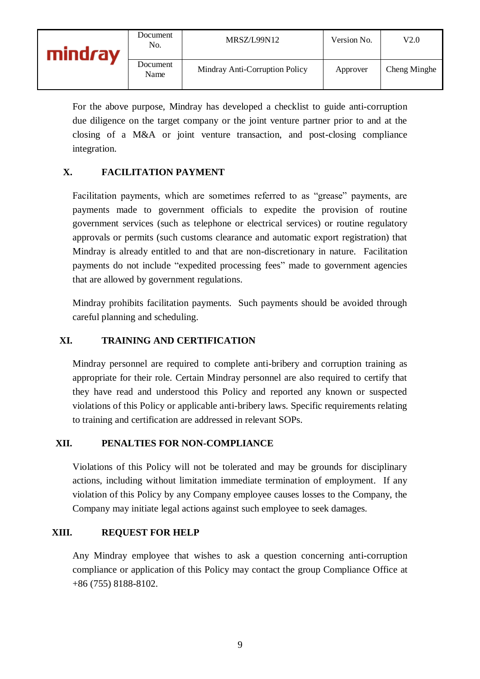| mind <i>r</i> ay | Document<br>No.  | MRSZ/L99N12                    | Version No. | V2.0         |
|------------------|------------------|--------------------------------|-------------|--------------|
|                  | Document<br>Name | Mindray Anti-Corruption Policy | Approver    | Cheng Minghe |

For the above purpose, Mindray has developed a checklist to guide anti-corruption due diligence on the target company or the joint venture partner prior to and at the closing of a M&A or joint venture transaction, and post-closing compliance integration.

### **X. FACILITATION PAYMENT**

Facilitation payments, which are sometimes referred to as "grease" payments, are payments made to government officials to expedite the provision of routine government services (such as telephone or electrical services) or routine regulatory approvals or permits (such customs clearance and automatic export registration) that Mindray is already entitled to and that are non-discretionary in nature. Facilitation payments do not include "expedited processing fees" made to government agencies that are allowed by government regulations.

Mindray prohibits facilitation payments. Such payments should be avoided through careful planning and scheduling.

#### **XI. TRAINING AND CERTIFICATION**

Mindray personnel are required to complete anti-bribery and corruption training as appropriate for their role. Certain Mindray personnel are also required to certify that they have read and understood this Policy and reported any known or suspected violations of this Policy or applicable anti-bribery laws. Specific requirements relating to training and certification are addressed in relevant SOPs.

#### **XII. PENALTIES FOR NON-COMPLIANCE**

Violations of this Policy will not be tolerated and may be grounds for disciplinary actions, including without limitation immediate termination of employment. If any violation of this Policy by any Company employee causes losses to the Company, the Company may initiate legal actions against such employee to seek damages.

#### **XIII. REQUEST FOR HELP**

Any Mindray employee that wishes to ask a question concerning anti-corruption compliance or application of this Policy may contact the group Compliance Office at +86 (755) 8188-8102.